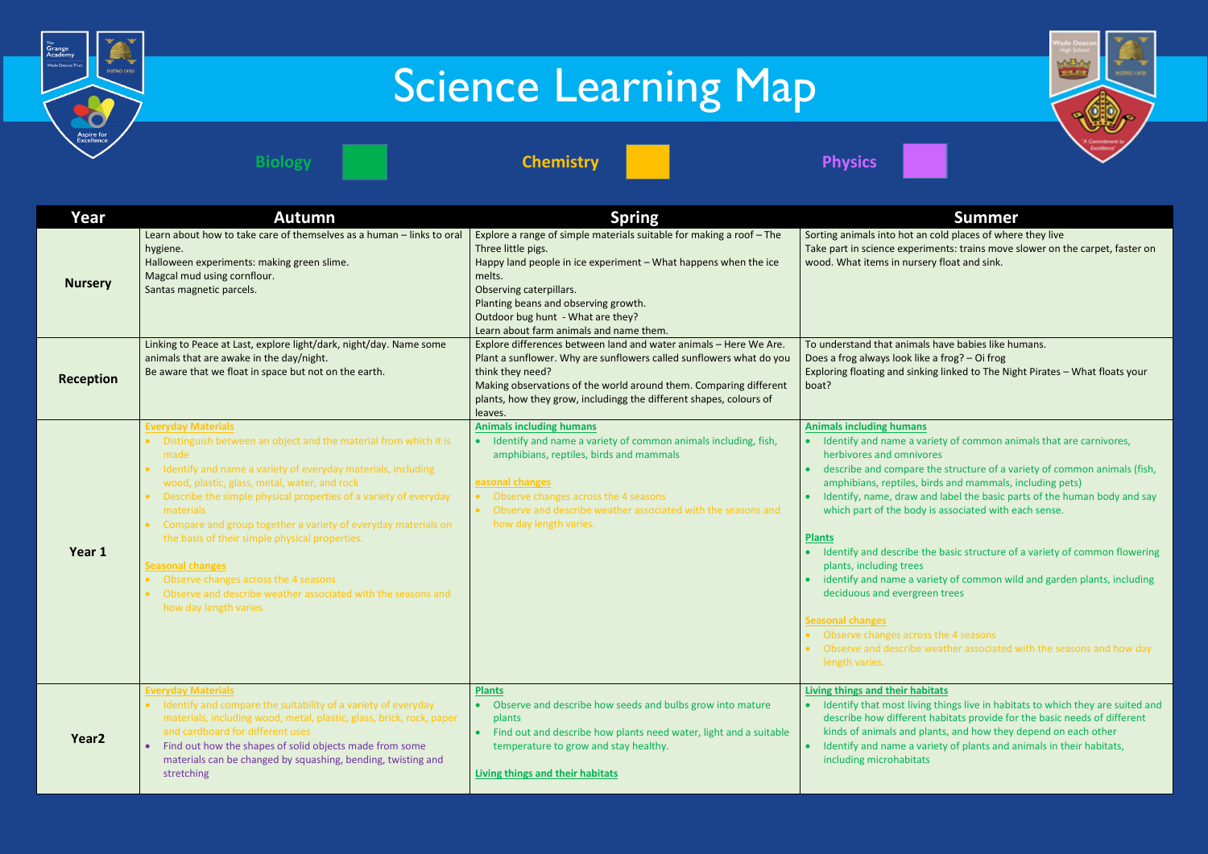

| Year              | <b>Autumn</b>                                                                                                                                                                                                                                                                                                                                                                                                                                                                                                                                                                                                     | <b>Spring</b>                                                                                                                                                                                                                                                                                                              | <b>Summer</b>                                                                                                                                                                                                                                                                                                                                                                                                                                                                                                                                                                                                  |
|-------------------|-------------------------------------------------------------------------------------------------------------------------------------------------------------------------------------------------------------------------------------------------------------------------------------------------------------------------------------------------------------------------------------------------------------------------------------------------------------------------------------------------------------------------------------------------------------------------------------------------------------------|----------------------------------------------------------------------------------------------------------------------------------------------------------------------------------------------------------------------------------------------------------------------------------------------------------------------------|----------------------------------------------------------------------------------------------------------------------------------------------------------------------------------------------------------------------------------------------------------------------------------------------------------------------------------------------------------------------------------------------------------------------------------------------------------------------------------------------------------------------------------------------------------------------------------------------------------------|
| <b>Nursery</b>    | Learn about how to take care of themselves as a human - links to oral<br>hygiene.<br>Halloween experiments: making green slime.<br>Magcal mud using cornflour.<br>Santas magnetic parcels.                                                                                                                                                                                                                                                                                                                                                                                                                        | Explore a range of simple materials suitable for making a roof - The<br>Three little pigs.<br>Happy land people in ice experiment - What happens when the ice<br>melts.<br>Observing caterpillars.<br>Planting beans and observing growth.<br>Outdoor bug hunt - What are they?<br>Learn about farm animals and name them. | Sorting animals into hot an cold places of wher<br>Take part in science experiments: trains move :<br>wood. What items in nursery float and sink.                                                                                                                                                                                                                                                                                                                                                                                                                                                              |
| Reception         | Linking to Peace at Last, explore light/dark, night/day. Name some<br>animals that are awake in the day/night.<br>Be aware that we float in space but not on the earth.                                                                                                                                                                                                                                                                                                                                                                                                                                           | Explore differences between land and water animals - Here We Are.<br>Plant a sunflower. Why are sunflowers called sunflowers what do you<br>think they need?<br>Making observations of the world around them. Comparing different<br>plants, how they grow, includingg the different shapes, colours of<br>leaves.         | To understand that animals have babies like hu<br>Does a frog always look like a frog? - Oi frog<br>Exploring floating and sinking linked to The Nig<br>boat?                                                                                                                                                                                                                                                                                                                                                                                                                                                  |
| Year 1            | <b>Everyday Materials</b><br>• Distinguish between an object and the material from which it is<br>made<br>Identify and name a variety of everyday materials, including<br>$\bullet$<br>wood, plastic, glass, metal, water, and rock<br>Describe the simple physical properties of a variety of everyday<br>materials<br>Compare and group together a variety of everyday materials on<br>$\bullet$<br>the basis of their simple physical properties.<br><b>Seasonal changes</b><br>Observe changes across the 4 seasons<br>Observe and describe weather associated with the seasons and<br>how day length varies. | <b>Animals including humans</b><br>Identify and name a variety of common animals including, fish,<br>amphibians, reptiles, birds and mammals<br>easonal changes<br>Observe changes across the 4 seasons<br>Observe and describe weather associated with the seasons and<br>how day length varies.                          | <b>Animals including humans</b><br>Identify and name a variety of common ani<br>herbivores and omnivores<br>describe and compare the structure of a va<br>amphibians, reptiles, birds and mammals, i<br>Identify, name, draw and label the basic pa<br>which part of the body is associated with e<br><b>Plants</b><br>Identify and describe the basic structure of<br>plants, including trees<br>identify and name a variety of common wil<br>deciduous and evergreen trees<br><b>Seasonal changes</b><br>• Observe changes across the 4 seasons<br>Observe and describe weather associated<br>length varies. |
| Year <sub>2</sub> | <b>Everyday Materials</b><br>• Identify and compare the suitability of a variety of everyday<br>materials, including wood, metal, plastic, glass, brick, rock, paper<br>and cardboard for different uses<br>Find out how the shapes of solid objects made from some<br>materials can be changed by squashing, bending, twisting and<br>stretching                                                                                                                                                                                                                                                                 | <b>Plants</b><br>Observe and describe how seeds and bulbs grow into mature<br>plants<br>Find out and describe how plants need water, light and a suitable<br>temperature to grow and stay healthy.<br>Living things and their habitats                                                                                     | <b>Living things and their habitats</b><br>Identify that most living things live in habit<br>describe how different habitats provide for<br>kinds of animals and plants, and how they<br>Identify and name a variety of plants and a<br>including microhabitats                                                                                                                                                                                                                                                                                                                                                |



ot an cold places of where they live periments: trains move slower on the carpet, faster on ursery float and sink.

imals have babies like humans. k like a frog? – Oi frog sinking linked to The Night Pirates – What floats your

# **<u>Anse</u>**

- a variety of common animals that are carnivores, nivores **and only**
- are the structure of a variety of common animals (fish, es, birds and mammals, including pets)
- If you and label the basic parts of the human body and say ody is associated with each sense.
- be the basic structure of a variety of common flowering ees
- a variety of common wild and garden plants, including rgreen trees

# cross the 4 seasons

ibe weather associated with the seasons and how day

# **habitats**

living things live in habitats to which they are suited and rent habitats provide for the basic needs of different ad plants, and how they depend on each other a variety of plants and animals in their habitats, itats

# Science Learning Map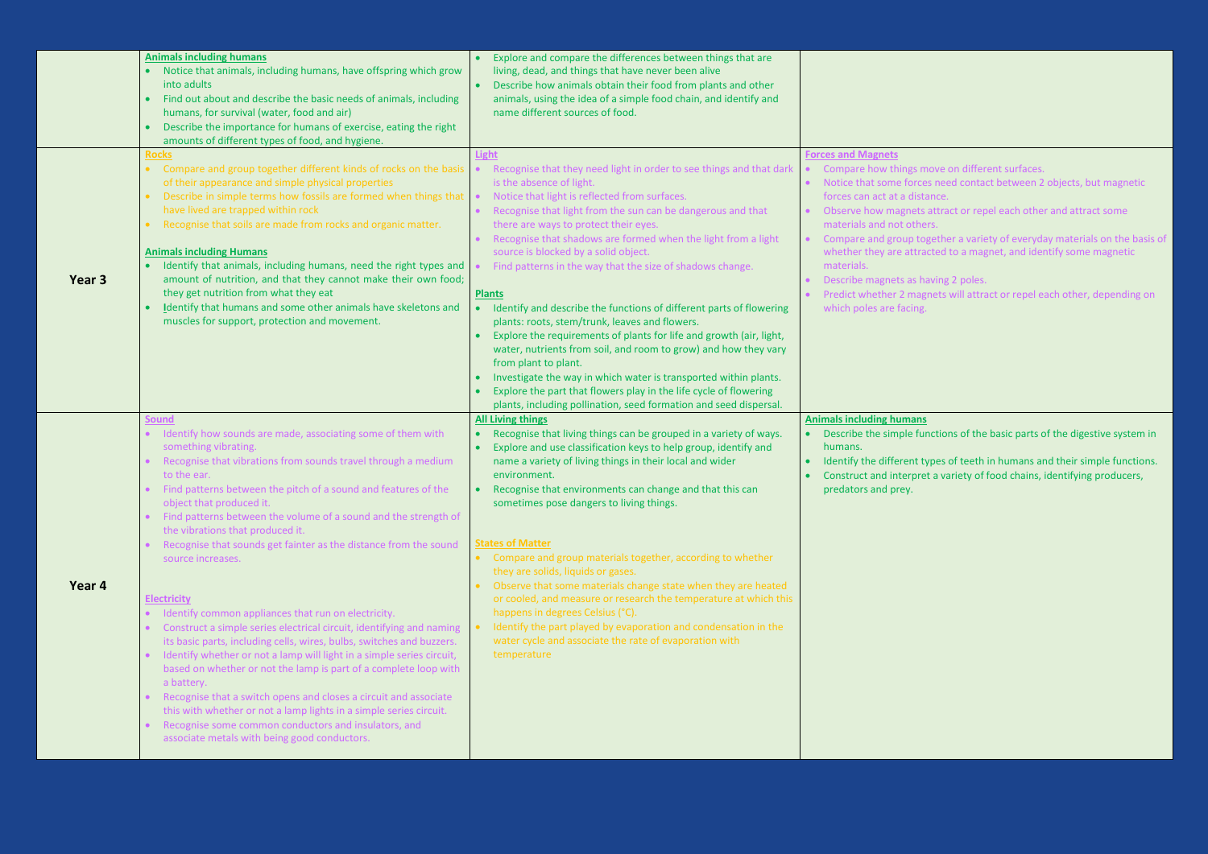| Year <sub>3</sub> | <b>Animals including humans</b><br>Notice that animals, including humans, have offspring which grow<br>into adults<br>Find out about and describe the basic needs of animals, including<br>humans, for survival (water, food and air)<br>Describe the importance for humans of exercise, eating the right<br>amounts of different types of food, and hygiene.<br><b>Rocks</b><br>Compare and group together different kinds of rocks on the basis<br>of their appearance and simple physical properties<br>Describe in simple terms how fossils are formed when things that $\cdot$<br>have lived are trapped within rock<br>Recognise that soils are made from rocks and organic matter.<br><b>Animals including Humans</b><br>Identify that animals, including humans, need the right types and<br>amount of nutrition, and that they cannot make their own food;<br>they get nutrition from what they eat<br>Identify that humans and some other animals have skeletons and<br>muscles for support, protection and movement.<br><b>Sound</b>                                                              | Explore and compare the differences between things that are<br>$\bullet$<br>living, dead, and things that have never been alive<br>Describe how animals obtain their food from plants and other<br>$\bullet$<br>animals, using the idea of a simple food chain, and identify and<br>name different sources of food.<br>Light<br>Recognise that they need light in order to see things and that dark<br>is the absence of light.<br>Notice that light is reflected from surfaces.<br>Recognise that light from the sun can be dangerous and that<br>there are ways to protect their eyes.<br>Recognise that shadows are formed when the light from a light<br>source is blocked by a solid object.<br>Find patterns in the way that the size of shadows change.<br><b>Plants</b><br>Identify and describe the functions of different parts of flowering<br>$\bullet$<br>plants: roots, stem/trunk, leaves and flowers.<br>Explore the requirements of plants for life and growth (air, light,<br>water, nutrients from soil, and room to grow) and how they vary<br>from plant to plant.<br>Investigate the way in which water is transported within plants.<br>$\bullet$<br>Explore the part that flowers play in the life cycle of flowering<br>plants, including pollination, seed formation and seed dispersal.<br><b>All Living things</b> | <b>Forces and Magnets</b><br>Compare how things m<br>Notice that some force<br>forces can act at a dista<br>Observe how magnets<br>materials and not othe<br>Compare and group to<br>whether they are attra<br>materials.<br>Describe magnets as ha<br>Predict whether 2 mag<br>which poles are facing.<br><b>Animals including humans</b> |
|-------------------|--------------------------------------------------------------------------------------------------------------------------------------------------------------------------------------------------------------------------------------------------------------------------------------------------------------------------------------------------------------------------------------------------------------------------------------------------------------------------------------------------------------------------------------------------------------------------------------------------------------------------------------------------------------------------------------------------------------------------------------------------------------------------------------------------------------------------------------------------------------------------------------------------------------------------------------------------------------------------------------------------------------------------------------------------------------------------------------------------------------|------------------------------------------------------------------------------------------------------------------------------------------------------------------------------------------------------------------------------------------------------------------------------------------------------------------------------------------------------------------------------------------------------------------------------------------------------------------------------------------------------------------------------------------------------------------------------------------------------------------------------------------------------------------------------------------------------------------------------------------------------------------------------------------------------------------------------------------------------------------------------------------------------------------------------------------------------------------------------------------------------------------------------------------------------------------------------------------------------------------------------------------------------------------------------------------------------------------------------------------------------------------------------------------------------------------------------------------------|--------------------------------------------------------------------------------------------------------------------------------------------------------------------------------------------------------------------------------------------------------------------------------------------------------------------------------------------|
| Year 4            | Identify how sounds are made, associating some of them with<br>something vibrating.<br>Recognise that vibrations from sounds travel through a medium<br>to the ear.<br>Find patterns between the pitch of a sound and features of the<br>object that produced it.<br>Find patterns between the volume of a sound and the strength of<br>the vibrations that produced it.<br>Recognise that sounds get fainter as the distance from the sound<br>source increases.<br><b>Electricity</b><br>Identify common appliances that run on electricity.<br>Construct a simple series electrical circuit, identifying and naming<br>its basic parts, including cells, wires, bulbs, switches and buzzers.<br>Identify whether or not a lamp will light in a simple series circuit,<br>based on whether or not the lamp is part of a complete loop with<br>a battery.<br>Recognise that a switch opens and closes a circuit and associate<br>this with whether or not a lamp lights in a simple series circuit.<br>Recognise some common conductors and insulators, and<br>associate metals with being good conductors. | Recognise that living things can be grouped in a variety of ways.<br>$\bullet$<br>Explore and use classification keys to help group, identify and<br>$\bullet$<br>name a variety of living things in their local and wider<br>environment.<br>Recognise that environments can change and that this can<br>$\bullet$<br>sometimes pose dangers to living things.<br><b>States of Matter</b><br>• Compare and group materials together, according to whether<br>they are solids, liquids or gases.<br>Observe that some materials change state when they are heated<br>$\bullet$<br>or cooled, and measure or research the temperature at which this<br>happens in degrees Celsius (°C).<br>Identify the part played by evaporation and condensation in the<br>$\bullet$<br>water cycle and associate the rate of evaporation with<br>temperature                                                                                                                                                                                                                                                                                                                                                                                                                                                                                                | Describe the simple ful<br>humans.<br>Identify the different to<br><b>Construct and interpre</b><br>predators and prey.                                                                                                                                                                                                                    |

s move on different surfaces.

rces need contact between 2 objects, but magnetic listance.

ets attract or repel each other and attract some thers.

 $\mathfrak d$  together a variety of everyday materials on the basis of ttracted to a magnet, and identify some magnetic

s having 2 poles.

agnets will attract or repel each other, depending on

**<u>ans</u>** 

If functions of the basic parts of the digestive system in

nt types of teeth in humans and their simple functions.  $\overline{p}$  pret a variety of food chains, identifying producers,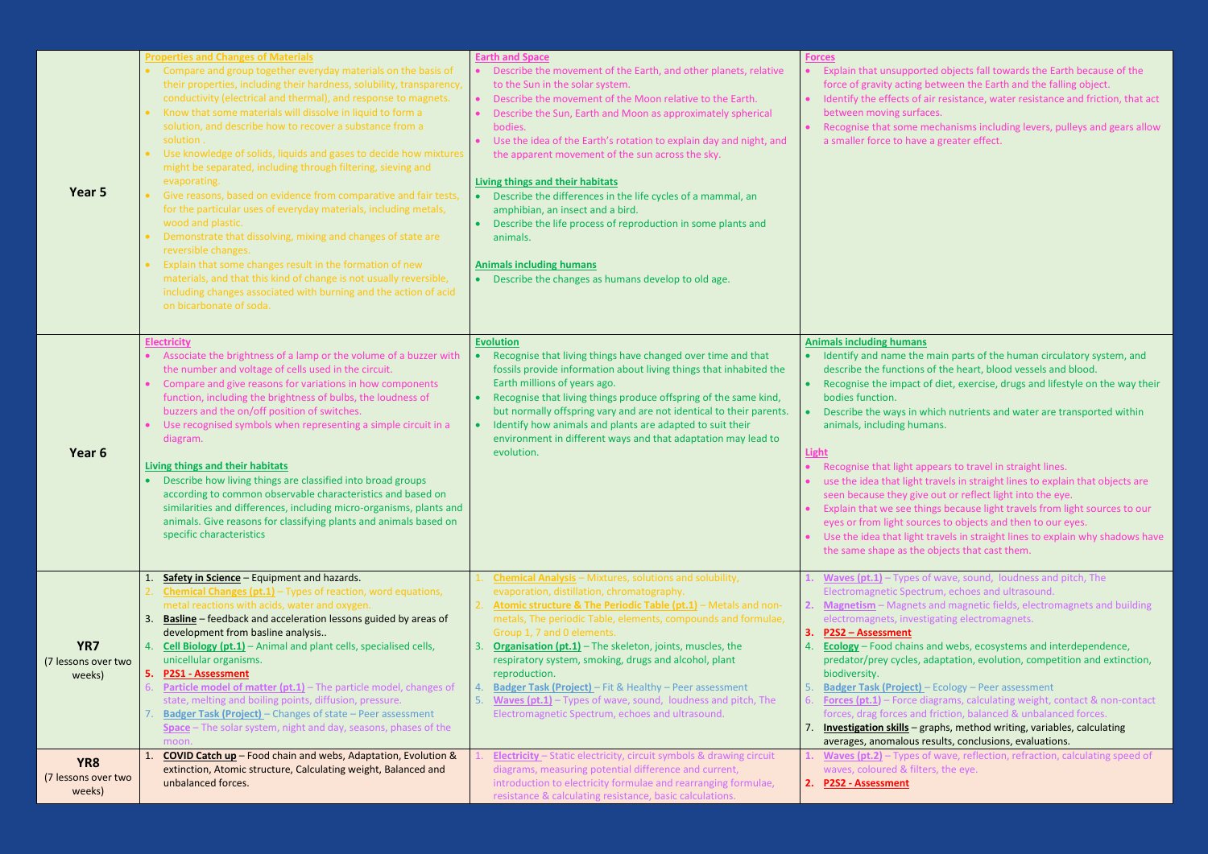**2. Magnetism** – Magnets and magnetic fields, electromagnets and building estigating electromagnets.

ns and webs, ecosystems and interdependence, s, adaptation, evolution, competition and extinction,

t) – Ecology – Peer assessment

diagrams, calculating weight, contact & non-contact nd friction, balanced & unbalanced forces.

7. **Investigation skills** – graphs, method writing, variables, calculating is results, conclusions, evaluations.

**1. Waves (pt.2)** – Types of wave, reflection, refraction, calculating speed of ilters, the eye.

| Year 5                                           | <b>Properties and Changes of Materials</b><br>Compare and group together everyday materials on the basis of<br>their properties, including their hardness, solubility, transparency,<br>conductivity (electrical and thermal), and response to magnets.<br>Know that some materials will dissolve in liquid to form a<br>solution, and describe how to recover a substance from a<br>solution.<br>Use knowledge of solids, liquids and gases to decide how mixtures<br>might be separated, including through filtering, sieving and<br>evaporating.<br>Give reasons, based on evidence from comparative and fair tests<br>for the particular uses of everyday materials, including metals,<br>wood and plastic.<br>Demonstrate that dissolving, mixing and changes of state are<br>reversible changes.<br>Explain that some changes result in the formation of new<br>materials, and that this kind of change is not usually reversible,<br>including changes associated with burning and the action of acid<br>on bicarbonate of soda. | <b>Earth and Space</b><br>Describe the movement of the Earth, and other planets, relative<br>to the Sun in the solar system.<br>Describe the movement of the Moon relative to the Earth.<br>$\bullet$<br>Describe the Sun, Earth and Moon as approximately spherical<br>$\bullet$<br>bodies.<br>Use the idea of the Earth's rotation to explain day and night, and<br>the apparent movement of the sun across the sky.<br>Living things and their habitats<br>Describe the differences in the life cycles of a mammal, an<br>amphibian, an insect and a bird.<br>Describe the life process of reproduction in some plants and<br>animals.<br><b>Animals including humans</b><br>Describe the changes as humans develop to old age.<br>$\bullet$ | <b>Forces</b><br><b>Explain that unsupport</b><br>force of gravity acting<br>Identify the effects of<br>between moving surfa<br>Recognise that some n<br>a smaller force to have                                                                                                                                                                                                              |
|--------------------------------------------------|-----------------------------------------------------------------------------------------------------------------------------------------------------------------------------------------------------------------------------------------------------------------------------------------------------------------------------------------------------------------------------------------------------------------------------------------------------------------------------------------------------------------------------------------------------------------------------------------------------------------------------------------------------------------------------------------------------------------------------------------------------------------------------------------------------------------------------------------------------------------------------------------------------------------------------------------------------------------------------------------------------------------------------------------|-------------------------------------------------------------------------------------------------------------------------------------------------------------------------------------------------------------------------------------------------------------------------------------------------------------------------------------------------------------------------------------------------------------------------------------------------------------------------------------------------------------------------------------------------------------------------------------------------------------------------------------------------------------------------------------------------------------------------------------------------|-----------------------------------------------------------------------------------------------------------------------------------------------------------------------------------------------------------------------------------------------------------------------------------------------------------------------------------------------------------------------------------------------|
| Year <sub>6</sub>                                | <b>Electricity</b><br>Associate the brightness of a lamp or the volume of a buzzer with<br>the number and voltage of cells used in the circuit.<br>Compare and give reasons for variations in how components<br>function, including the brightness of bulbs, the loudness of<br>buzzers and the on/off position of switches.<br>Use recognised symbols when representing a simple circuit in a<br>diagram.<br>Living things and their habitats<br>Describe how living things are classified into broad groups<br>according to common observable characteristics and based on<br>similarities and differences, including micro-organisms, plants and<br>animals. Give reasons for classifying plants and animals based on<br>specific characteristics                                                                                                                                                                                                                                                                                    | <b>Evolution</b><br>Recognise that living things have changed over time and that<br>$\bullet$<br>fossils provide information about living things that inhabited the<br>Earth millions of years ago.<br>Recognise that living things produce offspring of the same kind,<br>$\bullet$<br>but normally offspring vary and are not identical to their parents.<br>Identify how animals and plants are adapted to suit their<br>$\bullet$<br>environment in different ways and that adaptation may lead to<br>evolution.                                                                                                                                                                                                                            | <b>Animals including humans</b><br>Identify and name the<br>describe the functions<br>Recognise the impact o<br>bodies function.<br>Describe the ways in w<br>animals, including hum<br>Light<br>Recognise that light ap<br>use the idea that light<br>seen because they give<br>Explain that we see thi<br>eyes or from light sour<br>Use the idea that light<br>the same shape as the       |
| YR7<br>(7 lessons over two<br>weeks)             | Safety in Science - Equipment and hazards.<br><b>Chemical Changes (pt.1)</b> $-$ Types of reaction, word equations,<br>metal reactions with acids, water and oxygen.<br><b>Basline</b> - feedback and acceleration lessons guided by areas of<br>3.<br>development from basline analysis<br>Cell Biology (pt.1) - Animal and plant cells, specialised cells,<br>4.<br>unicellular organisms.<br><b>P2S1 - Assessment</b><br>5.<br>Particle model of matter (pt.1) - The particle model, changes of<br>6.<br>state, melting and boiling points, diffusion, pressure.<br><b>Badger Task (Project)</b> - Changes of state - Peer assessment<br>Space - The solar system, night and day, seasons, phases of the<br>moon.                                                                                                                                                                                                                                                                                                                    | Chemical Analysis - Mixtures, solutions and solubility,<br>evaporation, distillation, chromatography.<br>Atomic structure & The Periodic Table (pt.1) - Metals and non-<br>metals, The periodic Table, elements, compounds and formulae,<br>Group 1, 7 and 0 elements.<br><b>Organisation (pt.1)</b> – The skeleton, joints, muscles, the<br>3.<br>respiratory system, smoking, drugs and alcohol, plant<br>reproduction.<br><b>Badger Task (Project)</b> - Fit & Healthy - Peer assessment<br>$\overline{4}$<br>Waves (pt.1) - Types of wave, sound, loudness and pitch, The<br>5.<br>Electromagnetic Spectrum, echoes and ultrasound.                                                                                                         | <b>Waves <math>(pt.1]</math></b> - Types c<br><b>Electromagnetic Spect</b><br>Magnetism - Magnets<br>electromagnets, invest<br>P2S2 - Assessment<br>3.<br><b>Ecology</b> - Food chains<br>predator/prey cycles, a<br>biodiversity.<br><b>Badger Task (Project)</b><br><b>Forces (pt.1)</b> – Force d<br>forces, drag forces and<br><b>Investigation skills</b> – $g$<br>averages, anomalous r |
| YR <sub>8</sub><br>(7 lessons over two<br>weeks) | <b>COVID Catch up</b> - Food chain and webs, Adaptation, Evolution &<br>1<br>extinction, Atomic structure, Calculating weight, Balanced and<br>unbalanced forces.                                                                                                                                                                                                                                                                                                                                                                                                                                                                                                                                                                                                                                                                                                                                                                                                                                                                       | Electricity - Static electricity, circuit symbols & drawing circuit<br>diagrams, measuring potential difference and current,<br>introduction to electricity formulae and rearranging formulae,<br>resistance & calculating resistance, basic calculations.                                                                                                                                                                                                                                                                                                                                                                                                                                                                                      | Waves (pt.2) - Types of<br>waves, coloured & filte<br>P2S2 - Assessment<br>2.                                                                                                                                                                                                                                                                                                                 |

effed objects fall towards the Earth because of the g between the Earth and the falling object. f air resistance, water resistance and friction, that act faces.

· mechanisms including levers, pulleys and gears allow ve a greater effect.

he main parts of the human circulatory system, and ns of the heart, blood vessels and blood. et of diet, exercise, drugs and lifestyle on the way their

which nutrients and water are transported within umans.

appears to travel in straight lines.

It travels in straight lines to explain that objects are ive out or reflect light into the eye.

things because light travels from light sources to our urces to objects and then to our eyes.

ht travels in straight lines to explain why shadows have he objects that cast them.

**1. 1. 1. 1. 1. 1.** *M N Propositional populs <b>C<sub>1</sub> <i>Proposity* and **pitch**, The ctrum, echoes and ultrasound.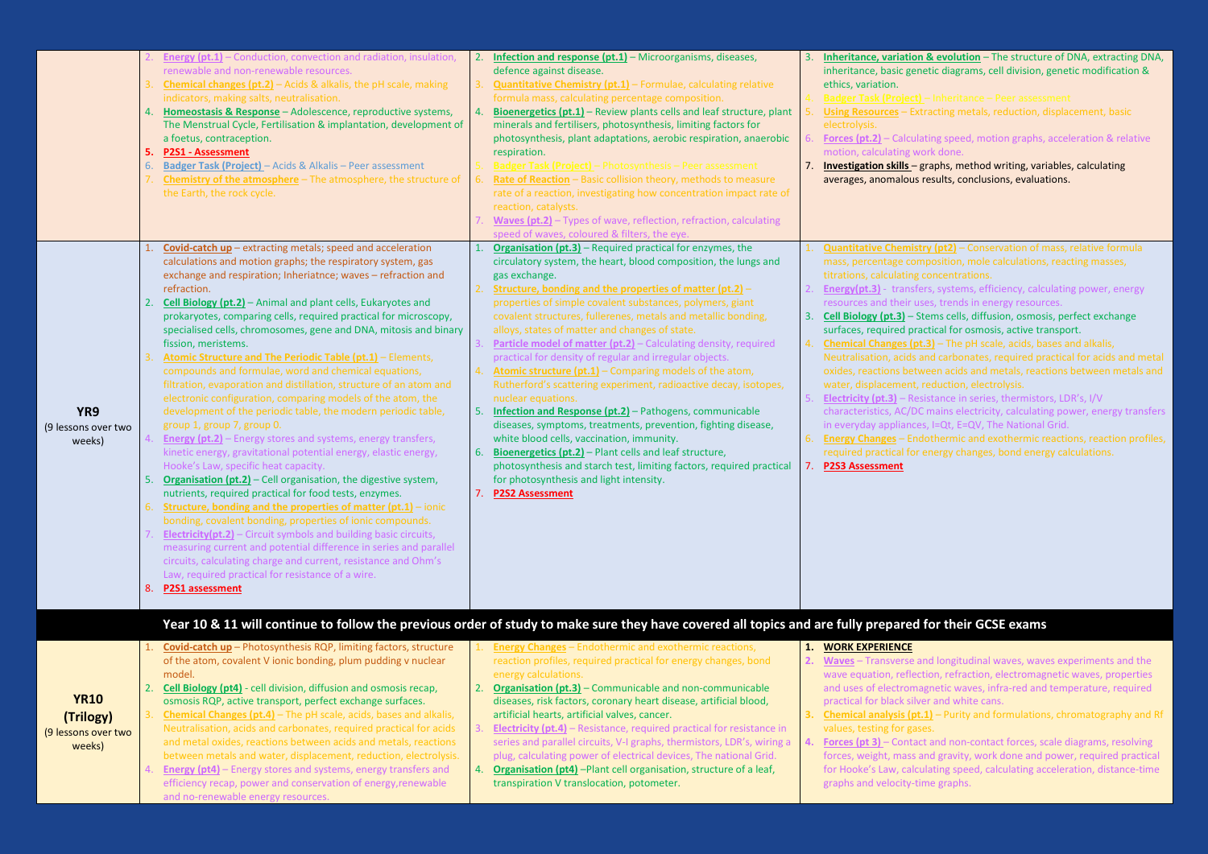5. **Using Resources** – Extracting metals, reduction, displacement, basic

ating speed, motion graphs, acceleration & relative ork done.

graphs, method writing, variables, calculating aresults, conclusions, evaluations.

**try (pt2)** – Conservation of mass, relative formula mposition, mole calculations, reacting masses, concentrations.

ers, systems, efficiency, calculating power, energy ses, trends in energy resources.

Stems cells, diffusion, osmosis, perfect exchange actical for osmosis, active transport.

**ht.3)** – The pH scale, acids, bases and alkalis,

and carbonates, required practical for acids and metal ween acids and metals, reactions between metals and  $\blacksquare$ reduction, electrolysis.

sistance in series, thermistors, LDR's, I/V

characteristicity, Calculating power, energy transfers in is, I=Qt, E=QV, The National Grid.

dothermic and exothermic reactions, reaction profiles, energy changes, bond energy calculations.

# **for their GCSE exams**

and longitudinal waves, waves experiments and the ction, refraction, electromagnetic waves, properties agnetic waves, infra-red and temperature, required ver and white cans.

**<u>1.1</u>** – Purity and formulations, chromatography and Rf ses.

**A. Force 3 and non-contact forces, scale diagrams, resolving** and gravity, work done and power, required practical for Hookeis and Hookeis Lag and Hookeis Law<br>For Hookeis acceleration as time-time ime graphs.

|                                                           | 4.<br>5.<br>6. | <b>Energy (pt.1)</b> - Conduction, convection and radiation, insulation,<br>renewable and non-renewable resources.<br><b>Chemical changes (pt.2)</b> - Acids & alkalis, the pH scale, making<br>indicators, making salts, neutralisation.<br>Homeostasis & Response - Adolescence, reproductive systems,<br>The Menstrual Cycle, Fertilisation & implantation, development of<br>a foetus, contraception.<br><b>P2S1 - Assessment</b><br><b>Badger Task (Project)</b> - Acids & Alkalis - Peer assessment<br>Chemistry of the atmosphere - The atmosphere, the structure of<br>the Earth, the rock cycle.                                                                                                                                                                                                                                                                                                                                                                                                                                                                                                                                                                                                                                                                                                                                                                                                                                                                                                                                          | 2.<br>4.<br>6. | <b>Infection and response (pt.1)</b> – Microorganisms, diseases,<br>defence against disease.<br><b>Quantitative Chemistry (pt.1)</b> - Formulae, calculating relative<br>formula mass, calculating percentage composition.<br>Bioenergetics (pt.1) - Review plants cells and leaf structure, plant<br>minerals and fertilisers, photosynthesis, limiting factors for<br>photosynthesis, plant adaptations, aerobic respiration, anaerobic<br>respiration.<br>Badger Task (Project) – Photosynthesis – Peer assessment<br>Rate of Reaction - Basic collision theory, methods to measure<br>rate of a reaction, investigating how concentration impact rate of<br>reaction, catalysts.<br>Waves (pt.2) - Types of wave, reflection, refraction, calculating<br>speed of waves, coloured & filters, the eye.                                                                                                                                                                                                                                                                           | 6.<br>7.       | Inheritance, variation<br>inheritance, basic ger<br>ethics, variation.<br><b>Badger Task (Project)</b><br><b>Using Resources - Ex</b><br>electrolysis.<br><b>Forces (pt.2)</b> $-$ Calcul<br>motion, calculating w<br>Investigation skills-<br>averages, anomalous                                                                                                                                                                                                            |
|-----------------------------------------------------------|----------------|----------------------------------------------------------------------------------------------------------------------------------------------------------------------------------------------------------------------------------------------------------------------------------------------------------------------------------------------------------------------------------------------------------------------------------------------------------------------------------------------------------------------------------------------------------------------------------------------------------------------------------------------------------------------------------------------------------------------------------------------------------------------------------------------------------------------------------------------------------------------------------------------------------------------------------------------------------------------------------------------------------------------------------------------------------------------------------------------------------------------------------------------------------------------------------------------------------------------------------------------------------------------------------------------------------------------------------------------------------------------------------------------------------------------------------------------------------------------------------------------------------------------------------------------------|----------------|-------------------------------------------------------------------------------------------------------------------------------------------------------------------------------------------------------------------------------------------------------------------------------------------------------------------------------------------------------------------------------------------------------------------------------------------------------------------------------------------------------------------------------------------------------------------------------------------------------------------------------------------------------------------------------------------------------------------------------------------------------------------------------------------------------------------------------------------------------------------------------------------------------------------------------------------------------------------------------------------------------------------------------------------------------------------------------------|----------------|-------------------------------------------------------------------------------------------------------------------------------------------------------------------------------------------------------------------------------------------------------------------------------------------------------------------------------------------------------------------------------------------------------------------------------------------------------------------------------|
| YR9<br>(9 lessons over two<br>weeks)                      | 2.<br>4.<br>8. | Covid-catch up - extracting metals; speed and acceleration<br>calculations and motion graphs; the respiratory system, gas<br>exchange and respiration; Inheriatnce; waves - refraction and<br>refraction.<br>Cell Biology (pt.2) - Animal and plant cells, Eukaryotes and<br>prokaryotes, comparing cells, required practical for microscopy,<br>specialised cells, chromosomes, gene and DNA, mitosis and binary<br>fission, meristems.<br>Atomic Structure and The Periodic Table (pt.1) - Elements,<br>compounds and formulae, word and chemical equations,<br>filtration, evaporation and distillation, structure of an atom and<br>electronic configuration, comparing models of the atom, the<br>development of the periodic table, the modern periodic table,<br>group 1, group 7, group 0.<br><b>Energy (pt.2)</b> - Energy stores and systems, energy transfers,<br>kinetic energy, gravitational potential energy, elastic energy,<br>Hooke's Law, specific heat capacity.<br><b>Organisation (pt.2)</b> - Cell organisation, the digestive system,<br>nutrients, required practical for food tests, enzymes.<br>Structure, bonding and the properties of matter $(pt.1)$ – ionic<br>bonding, covalent bonding, properties of ionic compounds.<br><b>Electricity(pt.2)</b> – Circuit symbols and building basic circuits,<br>measuring current and potential difference in series and parallel<br>circuits, calculating charge and current, resistance and Ohm's<br>Law, required practical for resistance of a wire.<br>P2S1 assessment | 5.             | <b>Organisation (pt.3)</b> - Required practical for enzymes, the<br>circulatory system, the heart, blood composition, the lungs and<br>gas exchange.<br>Structure, bonding and the properties of matter $(pt.2]$ -<br>properties of simple covalent substances, polymers, giant<br>covalent structures, fullerenes, metals and metallic bonding,<br>alloys, states of matter and changes of state.<br><b>Particle model of matter (pt.2)</b> - Calculating density, required<br>practical for density of regular and irregular objects.<br>Atomic structure (pt.1) - Comparing models of the atom,<br>Rutherford's scattering experiment, radioactive decay, isotopes,<br>nuclear equations.<br><b>Infection and Response (pt.2)</b> - Pathogens, communicable<br>diseases, symptoms, treatments, prevention, fighting disease,<br>white blood cells, vaccination, immunity.<br>Bioenergetics (pt.2) - Plant cells and leaf structure,<br>photosynthesis and starch test, limiting factors, required practical<br>for photosynthesis and light intensity.<br><b>P2S2 Assessment</b> | 3.<br>6.<br>7. | <b>Quantitative Chemis</b><br>mass, percentage cor<br>titrations, calculating<br>Energy(pt.3) - transf<br>resources and their u<br><b>Cell Biology (pt.3)</b> $-$ S<br>surfaces, required pra<br><b>Chemical Changes (p</b><br>Neutralisation, acids<br>oxides, reactions bety<br>water, displacement,<br><b>Electricity (pt.3)</b> – Re<br>characteristics, AC/D<br>in everyday appliance<br><b>Energy Changes - End</b><br>required practical for<br><b>P2S3 Assessment</b> |
|                                                           |                |                                                                                                                                                                                                                                                                                                                                                                                                                                                                                                                                                                                                                                                                                                                                                                                                                                                                                                                                                                                                                                                                                                                                                                                                                                                                                                                                                                                                                                                                                                                                                    |                | Year 10 & 11 will continue to follow the previous order of study to make sure they have covered all topics and are fully prepared                                                                                                                                                                                                                                                                                                                                                                                                                                                                                                                                                                                                                                                                                                                                                                                                                                                                                                                                                   |                |                                                                                                                                                                                                                                                                                                                                                                                                                                                                               |
| <b>YR10</b><br>(Trilogy)<br>(9 lessons over two<br>weeks) | 2.<br>3.       | Covid-catch up - Photosynthesis RQP, limiting factors, structure<br>of the atom, covalent V ionic bonding, plum pudding v nuclear<br>model.<br><b>Cell Biology (pt4)</b> - cell division, diffusion and osmosis recap,<br>osmosis RQP, active transport, perfect exchange surfaces.<br>Chemical Changes (pt.4) - The pH scale, acids, bases and alkalis,<br>Neutralisation, acids and carbonates, required practical for acids<br>and metal oxides, reactions between acids and metals, reactions<br>between metals and water, displacement, reduction, electrolysis.<br><b>Energy (pt4)</b> - Energy stores and systems, energy transfers and<br>efficiency recap, power and conservation of energy, renewable<br>and no-renewable energy resources.                                                                                                                                                                                                                                                                                                                                                                                                                                                                                                                                                                                                                                                                                                                                                                                              |                | <b>Energy Changes</b> - Endothermic and exothermic reactions,<br>reaction profiles, required practical for energy changes, bond<br>energy calculations.<br><b>Organisation (pt.3)</b> - Communicable and non-communicable<br>diseases, risk factors, coronary heart disease, artificial blood,<br>artificial hearts, artificial valves, cancer.<br><b>Electricity (pt.4)</b> – Resistance, required practical for resistance in<br>series and parallel circuits, V-I graphs, thermistors, LDR's, wiring a<br>plug, calculating power of electrical devices, The national Grid.<br><b>Organisation (pt4)</b> -Plant cell organisation, structure of a leaf,<br>transpiration V translocation, potometer.                                                                                                                                                                                                                                                                                                                                                                             | 4.             | <b>WORK EXPERIENCE</b><br><b>Waves</b> - Transverse a<br>wave equation, refled<br>and uses of electrom<br>practical for black silv<br><b>Chemical analysis (pt</b><br>values, testing for gas<br>Forces (pt 3) - Conta<br>forces, weight, mass<br>for Hooke's Law, calc<br>graphs and velocity-t                                                                                                                                                                              |

**n & evolution** – The structure of DNA, extracting DNA, netic diagrams, cell division, genetic modification &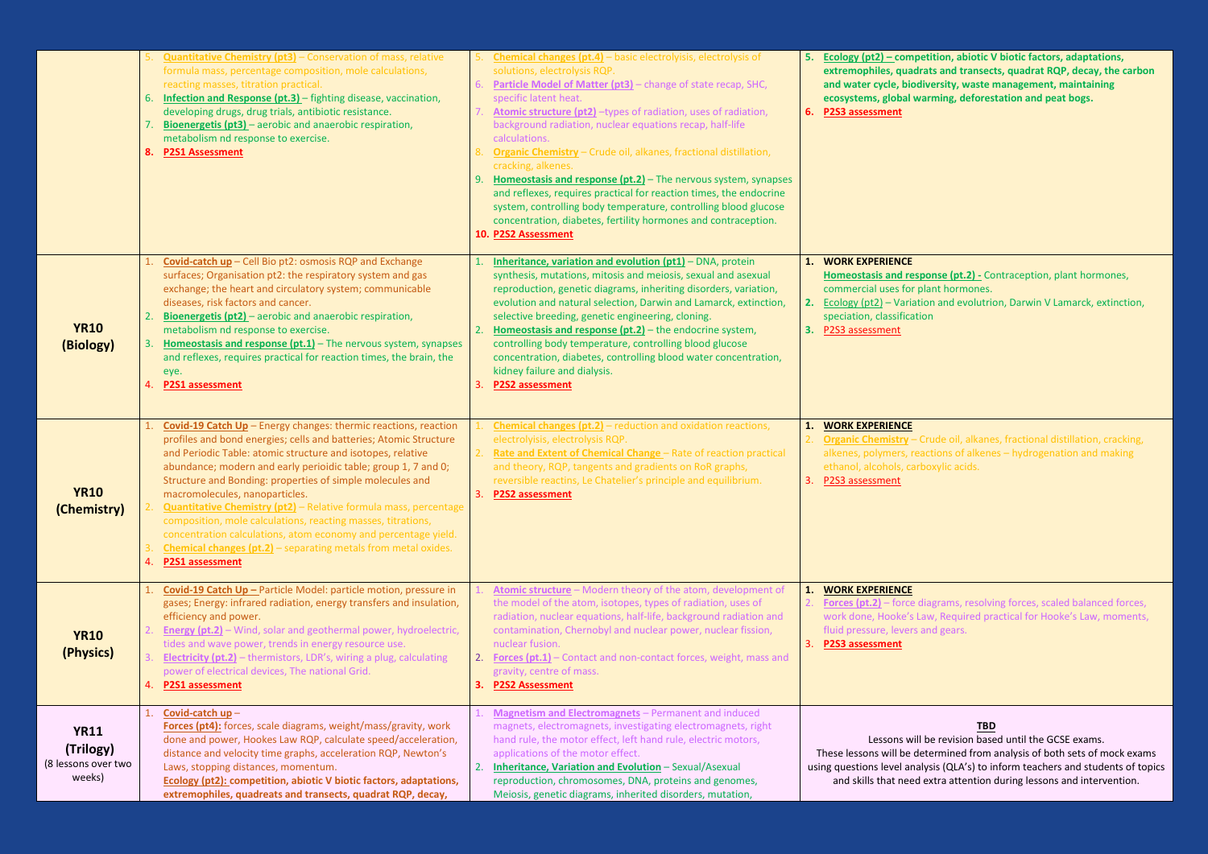**5. Ecology (pt2) – competition, abiotic V biotic factors, adaptations, adrats and transects, quadrat RQP, decay, the carbon iodiversity, waste management, maintaining** warming, deforestation and peat bogs.

**Homeon Contraception**, plant hormones, or plant hormones. **2.** Fation and evolutrion, Darwin V Lamarck, extinction, ation,

- Crude oil, alkanes, fractional distillation, cracking, reactions of alkenes – hydrogenation and making carboxylic acids.

e diagrams, resolving forces, scaled balanced forces, s Law, Required practical for Hooke's Law, moments, rs and gears.

|                                                           | 6.<br>7.<br>8. | <b>Quantitative Chemistry (pt3)</b> - Conservation of mass, relative<br>formula mass, percentage composition, mole calculations,<br>reacting masses, titration practical.<br><b>Infection and Response (pt.3)</b> – fighting disease, vaccination,<br>developing drugs, drug trials, antibiotic resistance.<br><b>Bioenergetis (pt3)</b> – aerobic and anaerobic respiration,<br>metabolism nd response to exercise.<br><b>P2S1 Assessment</b>                                                                                                                                                                                                                                       | 8.<br>9. | <b>Chemical changes (pt.4)</b> - basic electrolyisis, electrolysis of<br>solutions, electrolysis RQP.<br>Particle Model of Matter (pt3) - change of state recap, SHC,<br>specific latent heat.<br>Atomic structure (pt2) -types of radiation, uses of radiation,<br>background radiation, nuclear equations recap, half-life<br>calculations.<br><b>Organic Chemistry</b> - Crude oil, alkanes, fractional distillation,<br>cracking, alkenes.<br>Homeostasis and response (pt.2) – The nervous system, synapses<br>and reflexes, requires practical for reaction times, the endocrine<br>system, controlling body temperature, controlling blood glucose<br>concentration, diabetes, fertility hormones and contraception.<br>10. P2S2 Assessment | 6.       | 5. Ecology (pt2) – com<br>extremophiles, qua<br>and water cycle, bio<br>ecosystems, global<br><b>P2S3</b> assessment                              |
|-----------------------------------------------------------|----------------|--------------------------------------------------------------------------------------------------------------------------------------------------------------------------------------------------------------------------------------------------------------------------------------------------------------------------------------------------------------------------------------------------------------------------------------------------------------------------------------------------------------------------------------------------------------------------------------------------------------------------------------------------------------------------------------|----------|----------------------------------------------------------------------------------------------------------------------------------------------------------------------------------------------------------------------------------------------------------------------------------------------------------------------------------------------------------------------------------------------------------------------------------------------------------------------------------------------------------------------------------------------------------------------------------------------------------------------------------------------------------------------------------------------------------------------------------------------------|----------|---------------------------------------------------------------------------------------------------------------------------------------------------|
| <b>YR10</b><br>(Biology)                                  | 3.<br>4.       | Covid-catch up - Cell Bio pt2: osmosis RQP and Exchange<br>surfaces; Organisation pt2: the respiratory system and gas<br>exchange; the heart and circulatory system; communicable<br>diseases, risk factors and cancer.<br><b>Bioenergetis (pt2)</b> – aerobic and anaerobic respiration,<br>metabolism nd response to exercise.<br>Homeostasis and response (pt.1) - The nervous system, synapses<br>and reflexes, requires practical for reaction times, the brain, the<br>eye.<br><b>P2S1</b> assessment                                                                                                                                                                          |          | Inheritance, variation and evolution (pt1) - DNA, protein<br>synthesis, mutations, mitosis and meiosis, sexual and asexual<br>reproduction, genetic diagrams, inheriting disorders, variation,<br>evolution and natural selection, Darwin and Lamarck, extinction,<br>selective breeding, genetic engineering, cloning.<br>Homeostasis and response (pt.2) - the endocrine system,<br>controlling body temperature, controlling blood glucose<br>concentration, diabetes, controlling blood water concentration,<br>kidney failure and dialysis.<br><b>P2S2</b> assessment                                                                                                                                                                         | 3.       | 1. WORK EXPERIENCE<br><b>Homeostasis and re</b><br>commercial uses for<br>2. Ecology $(pt2]$ – Varia<br>speciation, classifica<br>P2S3 assessment |
| <b>YR10</b><br>(Chemistry)                                | 4.             | Covid-19 Catch Up - Energy changes: thermic reactions, reaction<br>profiles and bond energies; cells and batteries; Atomic Structure<br>and Periodic Table: atomic structure and isotopes, relative<br>abundance; modern and early perioidic table; group 1, 7 and 0;<br>Structure and Bonding: properties of simple molecules and<br>macromolecules, nanoparticles.<br><b>Quantitative Chemistry (pt2)</b> - Relative formula mass, percentage<br>composition, mole calculations, reacting masses, titrations,<br>concentration calculations, atom economy and percentage yield.<br><b>Chemical changes (pt.2)</b> - separating metals from metal oxides.<br><b>P2S1 assessment</b> | 3.       | <b>Chemical changes (pt.2)</b> – reduction and oxidation reactions,<br>electrolyisis, electrolysis RQP.<br>Rate and Extent of Chemical Change - Rate of reaction practical<br>and theory, RQP, tangents and gradients on RoR graphs,<br>reversible reactins, Le Chatelier's principle and equilibrium.<br>P2S2 assessment                                                                                                                                                                                                                                                                                                                                                                                                                          | 1.<br>3. | <b>WORK EXPERIENCE</b><br><b>Organic Chemistry -</b><br>alkenes, polymers, r<br>ethanol, alcohols, ca<br>P2S3 assessment                          |
| <b>YR10</b><br>(Physics)                                  | 4.             | Covid-19 Catch Up - Particle Model: particle motion, pressure in<br>gases; Energy: infrared radiation, energy transfers and insulation,<br>efficiency and power.<br><b>Energy (pt.2)</b> - Wind, solar and geothermal power, hydroelectric,<br>tides and wave power, trends in energy resource use.<br><b>Electricity (pt.2)</b> - thermistors, LDR's, wiring a plug, calculating<br>power of electrical devices, The national Grid.<br><b>P2S1 assessment</b>                                                                                                                                                                                                                       | 3.       | Atomic structure - Modern theory of the atom, development of<br>the model of the atom, isotopes, types of radiation, uses of<br>radiation, nuclear equations, half-life, background radiation and<br>contamination, Chernobyl and nuclear power, nuclear fission,<br>nuclear fusion.<br><b>Forces (pt.1)</b> - Contact and non-contact forces, weight, mass and<br>gravity, centre of mass.<br><b>P2S2 Assessment</b>                                                                                                                                                                                                                                                                                                                              | 1.<br>3. | <b>WORK EXPERIENCE</b><br><b>Forces (pt.2)</b> – force<br>work done, Hooke's<br>fluid pressure, lever<br><b>P2S3 assessment</b>                   |
| <b>YR11</b><br>(Trilogy)<br>(8 lessons over two<br>weeks) | 1.             | Covid-catch up-<br>Forces (pt4): forces, scale diagrams, weight/mass/gravity, work<br>done and power, Hookes Law RQP, calculate speed/acceleration,<br>distance and velocity time graphs, acceleration RQP, Newton's<br>Laws, stopping distances, momentum.<br><b>Ecology (pt2): competition, abiotic V biotic factors, adaptations,</b><br>extremophiles, quadreats and transects, quadrat RQP, decay,                                                                                                                                                                                                                                                                              |          | <b>Magnetism and Electromagnets</b> - Permanent and induced<br>magnets, electromagnets, investigating electromagnets, right<br>hand rule, the motor effect, left hand rule, electric motors,<br>applications of the motor effect.<br>Inheritance, Variation and Evolution - Sexual/Asexual<br>reproduction, chromosomes, DNA, proteins and genomes,<br>Meiosis, genetic diagrams, inherited disorders, mutation,                                                                                                                                                                                                                                                                                                                                   |          | Lessons w<br>These lessons will be<br>using questions level ar<br>and skills that nee                                                             |

# **TBD**

will be revision based until the GCSE exams. e determined from analysis of both sets of mock exams analysis (QLA's) to inform teachers and students of topics ed extra attention during lessons and intervention.